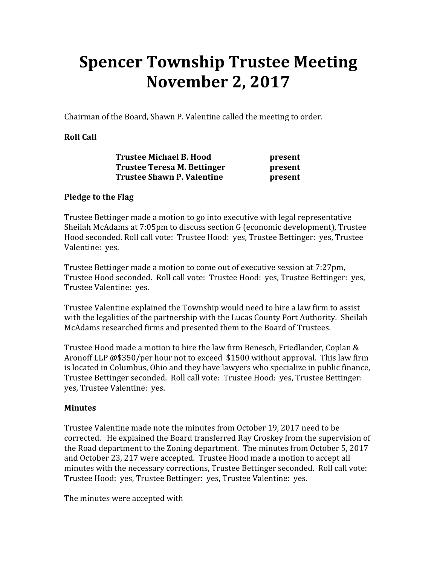# Spencer Township Trustee Meeting November 2, 2017

Chairman of the Board, Shawn P. Valentine called the meeting to order.

# Roll Call

| <b>Trustee Michael B. Hood</b>    | present |
|-----------------------------------|---------|
| Trustee Teresa M. Bettinger       | present |
| <b>Trustee Shawn P. Valentine</b> | present |

# Pledge to the Flag

Trustee Bettinger made a motion to go into executive with legal representative Sheilah McAdams at 7:05pm to discuss section G (economic development), Trustee Hood seconded. Roll call vote: Trustee Hood: yes, Trustee Bettinger: yes, Trustee Valentine: yes.

Trustee Bettinger made a motion to come out of executive session at 7:27pm, Trustee Hood seconded. Roll call vote: Trustee Hood: yes, Trustee Bettinger: yes, Trustee Valentine: yes.

Trustee Valentine explained the Township would need to hire a law firm to assist with the legalities of the partnership with the Lucas County Port Authority. Sheilah McAdams researched firms and presented them to the Board of Trustees.

Trustee Hood made a motion to hire the law firm Benesch, Friedlander, Coplan & Aronoff LLP @\$350/per hour not to exceed \$1500 without approval. This law firm is located in Columbus, Ohio and they have lawyers who specialize in public finance, Trustee Bettinger seconded. Roll call vote: Trustee Hood: yes, Trustee Bettinger: yes, Trustee Valentine: yes.

# Minutes

Trustee Valentine made note the minutes from October 19, 2017 need to be corrected. He explained the Board transferred Ray Croskey from the supervision of the Road department to the Zoning department. The minutes from October 5, 2017 and October 23, 217 were accepted. Trustee Hood made a motion to accept all minutes with the necessary corrections, Trustee Bettinger seconded. Roll call vote: Trustee Hood: yes, Trustee Bettinger: yes, Trustee Valentine: yes.

The minutes were accepted with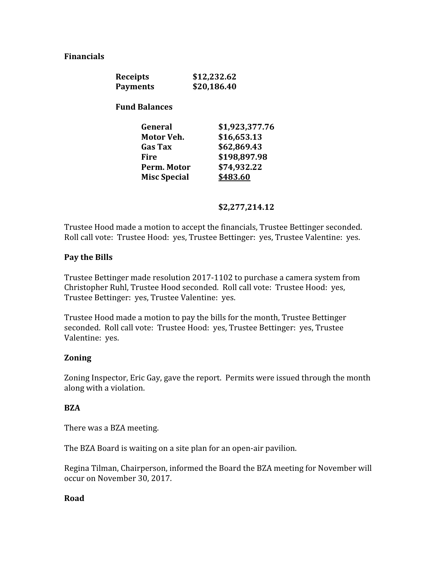### Financials

| <b>Receipts</b> | \$12,232.62 |
|-----------------|-------------|
| <b>Payments</b> | \$20,186.40 |

Fund Balances

| General             | \$1,923,377.76 |
|---------------------|----------------|
| Motor Veh.          | \$16,653.13    |
| <b>Gas Tax</b>      | \$62,869.43    |
| Fire                | \$198,897.98   |
| Perm. Motor         | \$74,932.22    |
| <b>Misc Special</b> | \$483.60       |

### \$2,277,214.12

Trustee Hood made a motion to accept the financials, Trustee Bettinger seconded. Roll call vote: Trustee Hood: yes, Trustee Bettinger: yes, Trustee Valentine: yes.

### Pay the Bills

Trustee Bettinger made resolution 2017-1102 to purchase a camera system from Christopher Ruhl, Trustee Hood seconded. Roll call vote: Trustee Hood: yes, Trustee Bettinger: yes, Trustee Valentine: yes.

Trustee Hood made a motion to pay the bills for the month, Trustee Bettinger seconded. Roll call vote: Trustee Hood: yes, Trustee Bettinger: yes, Trustee Valentine: yes.

# Zoning

Zoning Inspector, Eric Gay, gave the report. Permits were issued through the month along with a violation.

#### **BZA**

There was a BZA meeting.

The BZA Board is waiting on a site plan for an open-air pavilion.

Regina Tilman, Chairperson, informed the Board the BZA meeting for November will occur on November 30, 2017.

#### Road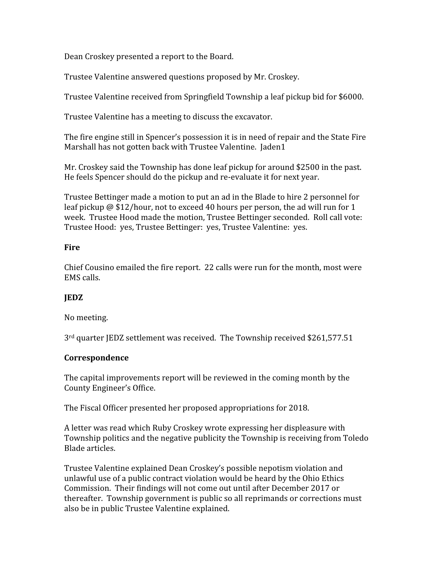Dean Croskey presented a report to the Board.

Trustee Valentine answered questions proposed by Mr. Croskey.

Trustee Valentine received from Springfield Township a leaf pickup bid for \$6000.

Trustee Valentine has a meeting to discuss the excavator.

The fire engine still in Spencer's possession it is in need of repair and the State Fire Marshall has not gotten back with Trustee Valentine. Jaden1

Mr. Croskey said the Township has done leaf pickup for around \$2500 in the past. He feels Spencer should do the pickup and re-evaluate it for next year.

Trustee Bettinger made a motion to put an ad in the Blade to hire 2 personnel for leaf pickup @ \$12/hour, not to exceed 40 hours per person, the ad will run for 1 week. Trustee Hood made the motion, Trustee Bettinger seconded. Roll call vote: Trustee Hood: yes, Trustee Bettinger: yes, Trustee Valentine: yes.

# **Fire**

Chief Cousino emailed the fire report. 22 calls were run for the month, most were EMS calls.

# **IEDZ**

# No meeting.

3rd quarter JEDZ settlement was received. The Township received \$261,577.51

# Correspondence

The capital improvements report will be reviewed in the coming month by the County Engineer's Office.

The Fiscal Officer presented her proposed appropriations for 2018.

A letter was read which Ruby Croskey wrote expressing her displeasure with Township politics and the negative publicity the Township is receiving from Toledo Blade articles.

Trustee Valentine explained Dean Croskey's possible nepotism violation and unlawful use of a public contract violation would be heard by the Ohio Ethics Commission. Their findings will not come out until after December 2017 or thereafter. Township government is public so all reprimands or corrections must also be in public Trustee Valentine explained.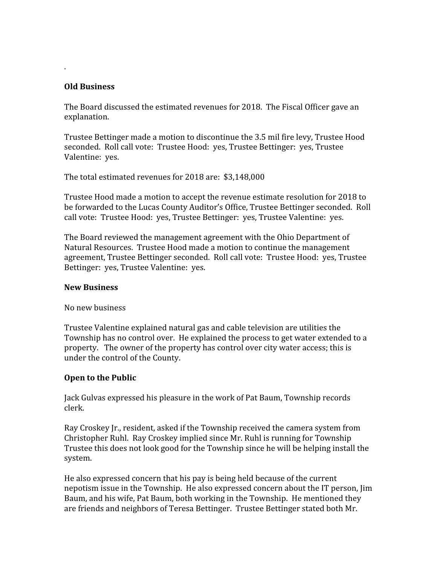### Old Business

.

The Board discussed the estimated revenues for 2018. The Fiscal Officer gave an explanation.

Trustee Bettinger made a motion to discontinue the 3.5 mil fire levy, Trustee Hood seconded. Roll call vote: Trustee Hood: yes, Trustee Bettinger: yes, Trustee Valentine: yes.

The total estimated revenues for 2018 are: \$3,148,000

Trustee Hood made a motion to accept the revenue estimate resolution for 2018 to be forwarded to the Lucas County Auditor's Office, Trustee Bettinger seconded. Roll call vote: Trustee Hood: yes, Trustee Bettinger: yes, Trustee Valentine: yes.

The Board reviewed the management agreement with the Ohio Department of Natural Resources. Trustee Hood made a motion to continue the management agreement, Trustee Bettinger seconded. Roll call vote: Trustee Hood: yes, Trustee Bettinger: yes, Trustee Valentine: yes.

#### New Business

No new business

Trustee Valentine explained natural gas and cable television are utilities the Township has no control over. He explained the process to get water extended to a property. The owner of the property has control over city water access; this is under the control of the County.

# Open to the Public

Jack Gulvas expressed his pleasure in the work of Pat Baum, Township records clerk.

Ray Croskey Jr., resident, asked if the Township received the camera system from Christopher Ruhl. Ray Croskey implied since Mr. Ruhl is running for Township Trustee this does not look good for the Township since he will be helping install the system.

He also expressed concern that his pay is being held because of the current nepotism issue in the Township. He also expressed concern about the IT person, Jim Baum, and his wife, Pat Baum, both working in the Township. He mentioned they are friends and neighbors of Teresa Bettinger. Trustee Bettinger stated both Mr.